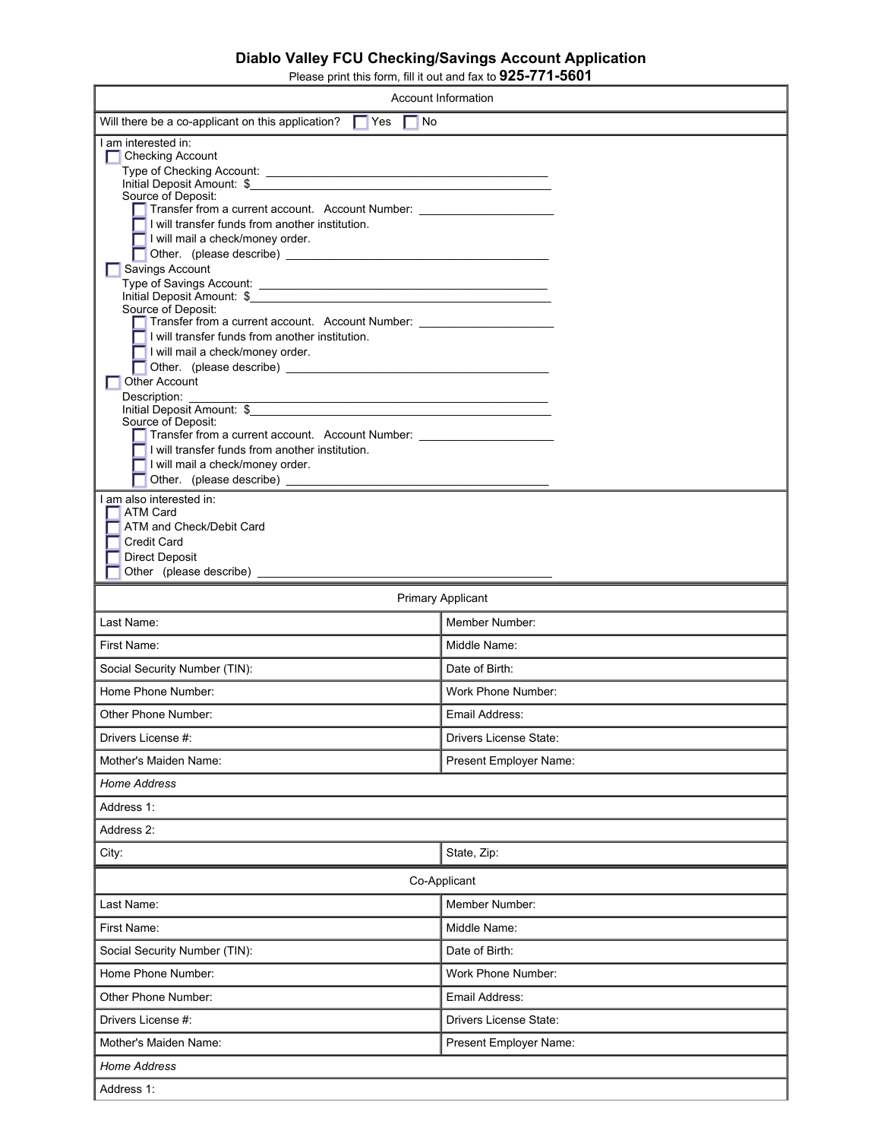## **Diablo Valley FCU Checking/Savings Account Application**

Please print this form, fill it out and fax to **925-771-5601**

|                                                                                                                                                                                                                                                                                                                                                                                                                                                                                                                                                                                                                                                                                                                                                                                                                                                                                                          | Account Information    |  |
|----------------------------------------------------------------------------------------------------------------------------------------------------------------------------------------------------------------------------------------------------------------------------------------------------------------------------------------------------------------------------------------------------------------------------------------------------------------------------------------------------------------------------------------------------------------------------------------------------------------------------------------------------------------------------------------------------------------------------------------------------------------------------------------------------------------------------------------------------------------------------------------------------------|------------------------|--|
| Will there be a co-applicant on this application?<br>$\Gamma$ Yes<br>No                                                                                                                                                                                                                                                                                                                                                                                                                                                                                                                                                                                                                                                                                                                                                                                                                                  |                        |  |
| I am interested in:<br><b>Checking Account</b><br>Initial Deposit Amount: \$<br>Source of Deposit:<br>Transfer from a current account. Account Number: _______________________________<br>$\blacksquare$ I will transfer funds from another institution.<br>$\blacksquare$ I will mail a check/money order.<br>Savings Account<br>Initial Deposit Amount: \$<br>Source of Deposit:<br>Transfer from a current account. Account Number: _______________________________<br>I will transfer funds from another institution.<br>I will mail a check/money order.<br><b>Other Account</b><br>Description:<br>Initial Deposit Amount: \$<br>Source of Deposit:<br>Transfer from a current account. Account Number: _______________________________<br>I will transfer funds from another institution.<br>I will mail a check/money order.<br>I am also interested in:<br>ATM Card<br>ATM and Check/Debit Card |                        |  |
| <b>Credit Card</b><br><b>Direct Deposit</b>                                                                                                                                                                                                                                                                                                                                                                                                                                                                                                                                                                                                                                                                                                                                                                                                                                                              |                        |  |
|                                                                                                                                                                                                                                                                                                                                                                                                                                                                                                                                                                                                                                                                                                                                                                                                                                                                                                          |                        |  |
| <b>Primary Applicant</b>                                                                                                                                                                                                                                                                                                                                                                                                                                                                                                                                                                                                                                                                                                                                                                                                                                                                                 |                        |  |
| Last Name:                                                                                                                                                                                                                                                                                                                                                                                                                                                                                                                                                                                                                                                                                                                                                                                                                                                                                               | Member Number:         |  |
| First Name:                                                                                                                                                                                                                                                                                                                                                                                                                                                                                                                                                                                                                                                                                                                                                                                                                                                                                              | Middle Name:           |  |
| Social Security Number (TIN):                                                                                                                                                                                                                                                                                                                                                                                                                                                                                                                                                                                                                                                                                                                                                                                                                                                                            | Date of Birth:         |  |
| Home Phone Number:                                                                                                                                                                                                                                                                                                                                                                                                                                                                                                                                                                                                                                                                                                                                                                                                                                                                                       | Work Phone Number:     |  |
| Other Phone Number:                                                                                                                                                                                                                                                                                                                                                                                                                                                                                                                                                                                                                                                                                                                                                                                                                                                                                      | Email Address:         |  |
| Drivers License #:                                                                                                                                                                                                                                                                                                                                                                                                                                                                                                                                                                                                                                                                                                                                                                                                                                                                                       | Drivers License State: |  |
| Mother's Maiden Name:                                                                                                                                                                                                                                                                                                                                                                                                                                                                                                                                                                                                                                                                                                                                                                                                                                                                                    | Present Employer Name: |  |
| Home Address                                                                                                                                                                                                                                                                                                                                                                                                                                                                                                                                                                                                                                                                                                                                                                                                                                                                                             |                        |  |
| Address 1:                                                                                                                                                                                                                                                                                                                                                                                                                                                                                                                                                                                                                                                                                                                                                                                                                                                                                               |                        |  |
| Address 2:                                                                                                                                                                                                                                                                                                                                                                                                                                                                                                                                                                                                                                                                                                                                                                                                                                                                                               |                        |  |
| City:                                                                                                                                                                                                                                                                                                                                                                                                                                                                                                                                                                                                                                                                                                                                                                                                                                                                                                    | State, Zip:            |  |
| Co-Applicant                                                                                                                                                                                                                                                                                                                                                                                                                                                                                                                                                                                                                                                                                                                                                                                                                                                                                             |                        |  |
| Last Name:                                                                                                                                                                                                                                                                                                                                                                                                                                                                                                                                                                                                                                                                                                                                                                                                                                                                                               | Member Number:         |  |
| First Name:                                                                                                                                                                                                                                                                                                                                                                                                                                                                                                                                                                                                                                                                                                                                                                                                                                                                                              | Middle Name:           |  |
| Social Security Number (TIN):                                                                                                                                                                                                                                                                                                                                                                                                                                                                                                                                                                                                                                                                                                                                                                                                                                                                            | Date of Birth:         |  |
| Home Phone Number:                                                                                                                                                                                                                                                                                                                                                                                                                                                                                                                                                                                                                                                                                                                                                                                                                                                                                       | Work Phone Number:     |  |
| Other Phone Number:                                                                                                                                                                                                                                                                                                                                                                                                                                                                                                                                                                                                                                                                                                                                                                                                                                                                                      | Email Address:         |  |
| Drivers License #:                                                                                                                                                                                                                                                                                                                                                                                                                                                                                                                                                                                                                                                                                                                                                                                                                                                                                       | Drivers License State: |  |
| Mother's Maiden Name:                                                                                                                                                                                                                                                                                                                                                                                                                                                                                                                                                                                                                                                                                                                                                                                                                                                                                    | Present Employer Name: |  |
| <b>Home Address</b>                                                                                                                                                                                                                                                                                                                                                                                                                                                                                                                                                                                                                                                                                                                                                                                                                                                                                      |                        |  |
| Address 1:                                                                                                                                                                                                                                                                                                                                                                                                                                                                                                                                                                                                                                                                                                                                                                                                                                                                                               |                        |  |